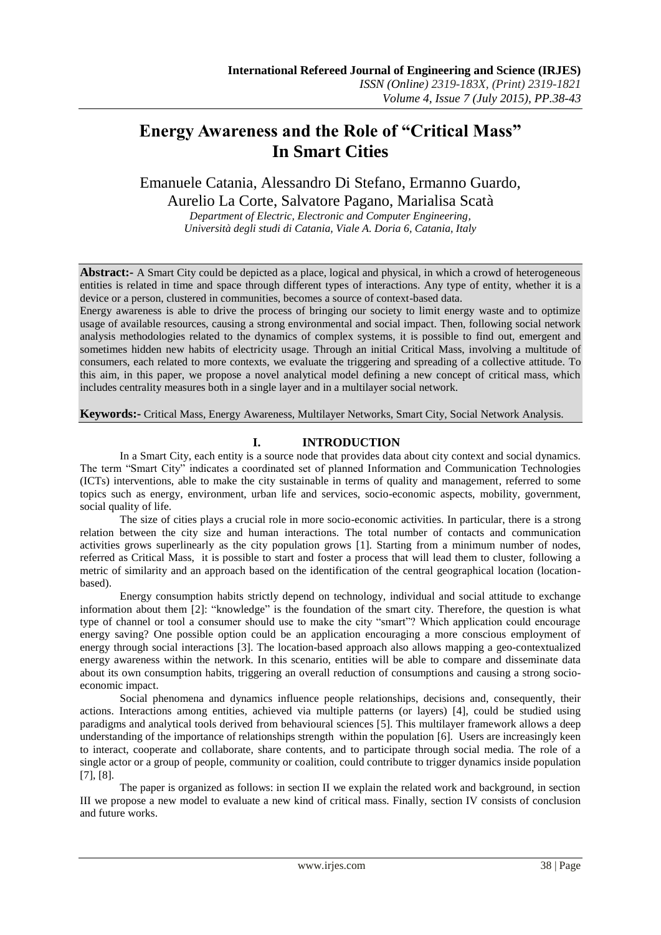# **Energy Awareness and the Role of "Critical Mass" In Smart Cities**

Emanuele Catania, Alessandro Di Stefano, Ermanno Guardo, Aurelio La Corte, Salvatore Pagano, Marialisa Scatà

*Department of Electric, Electronic and Computer Engineering, Università degli studi di Catania, Viale A. Doria 6, Catania, Italy*

**Abstract:-** A Smart City could be depicted as a place, logical and physical, in which a crowd of heterogeneous entities is related in time and space through different types of interactions. Any type of entity, whether it is a device or a person, clustered in communities, becomes a source of context-based data.

Energy awareness is able to drive the process of bringing our society to limit energy waste and to optimize usage of available resources, causing a strong environmental and social impact. Then, following social network analysis methodologies related to the dynamics of complex systems, it is possible to find out, emergent and sometimes hidden new habits of electricity usage. Through an initial Critical Mass, involving a multitude of consumers, each related to more contexts, we evaluate the triggering and spreading of a collective attitude. To this aim, in this paper, we propose a novel analytical model defining a new concept of critical mass, which includes centrality measures both in a single layer and in a multilayer social network.

**Keywords:-** Critical Mass, Energy Awareness, Multilayer Networks, Smart City, Social Network Analysis.

## <span id="page-0-0"></span>**I. INTRODUCTION**

In a Smart City, each entity is a source node that provides data about city context and social dynamics. The term "Smart City" indicates a coordinated set of planned Information and Communication Technologies (ICTs) interventions, able to make the city sustainable in terms of quality and management, referred to some topics such as energy, environment, urban life and services, socio-economic aspects, mobility, government, social quality of life.

The size of cities plays a crucial role in more socio-economic activities. In particular, there is a strong relation between the city size and human interactions. The total number of contacts and communication activities grows superlinearly as the city population grows [1]. Starting from a minimum number of nodes, referred as Critical Mass, it is possible to start and foster a process that will lead them to cluster, following a metric of similarity and an approach based on the identification of the central geographical location (locationbased).

Energy consumption habits strictly depend on technology, individual and social attitude to exchange information about them [2]: "knowledge" is the foundation of the smart city. Therefore, the question is what type of channel or tool a consumer should use to make the city "smart"? Which application could encourage energy saving? One possible option could be an application encouraging a more conscious employment of energy through social interactions [3]. The location-based approach also allows mapping a geo-contextualized energy awareness within the network. In this scenario, entities will be able to compare and disseminate data about its own consumption habits, triggering an overall reduction of consumptions and causing a strong socioeconomic impact.

Social phenomena and dynamics influence people relationships, decisions and, consequently, their actions. Interactions among entities, achieved via multiple patterns (or layers) [4], could be studied using paradigms and analytical tools derived from behavioural sciences [5]. This multilayer framework allows a deep understanding of the importance of relationships strength within the population [6]. Users are increasingly keen to interact, cooperate and collaborate, share contents, and to participate through social media. The role of a single actor or a group of people, community or coalition, could contribute to trigger dynamics inside population [7], [8].

<span id="page-0-2"></span><span id="page-0-1"></span>The paper is organized as follows: in section II we explain the related work and background, in section III we propose a new model to evaluate a new kind of critical mass. Finally, section IV consists of conclusion and future works.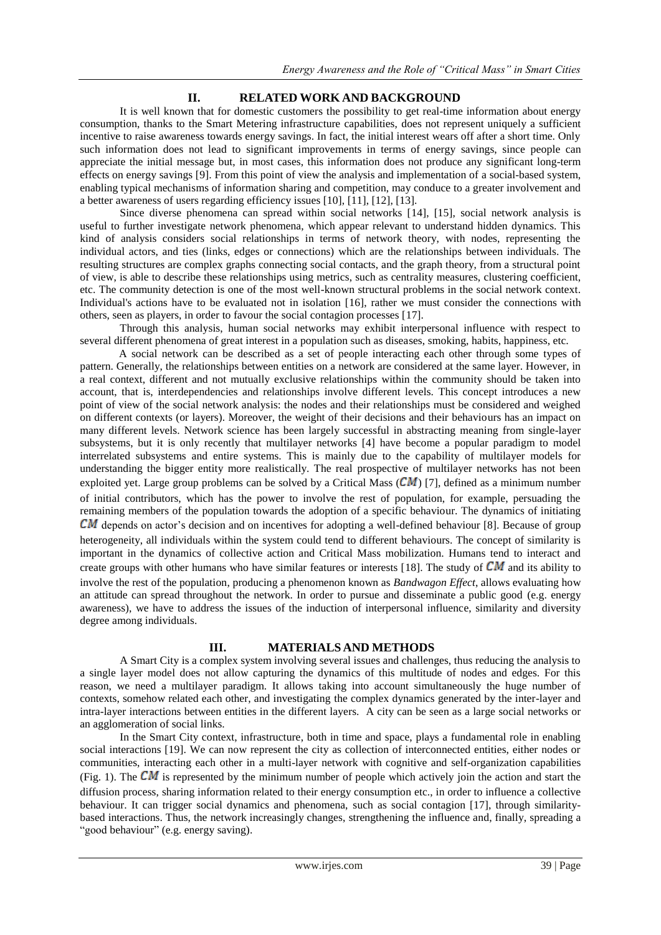## <span id="page-1-0"></span>**II. RELATED WORK AND BACKGROUND**

It is well known that for domestic customers the possibility to get real-time information about energy consumption, thanks to the Smart Metering infrastructure capabilities, does not represent uniquely a sufficient incentive to raise awareness towards energy savings. In fact, the initial interest wears off after a short time. Only such information does not lead to significant improvements in terms of energy savings, since people can appreciate the initial message but, in most cases, this information does not produce any significant long-term effects on energy savings [9]. From this point of view the analysis and implementation of a social-based system, enabling typical mechanisms of information sharing and competition, may conduce to a greater involvement and a better awareness of users regarding efficiency issues [10], [11], [12], [13].

Since diverse phenomena can spread within social networks [14], [15], social network analysis is useful to further investigate network phenomena, which appear relevant to understand hidden dynamics. This kind of analysis considers social relationships in terms of network theory, with nodes, representing the individual actors, and ties (links, edges or connections) which are the relationships between individuals. The resulting structures are complex graphs connecting social contacts, and the graph theory, from a structural point of view, is able to describe these relationships using metrics, such as centrality measures, clustering coefficient, etc. The community detection is one of the most well-known structural problems in the social network context. Individual's actions have to be evaluated not in isolation [16], rather we must consider the connections with others, seen as players, in order to favour the social contagion processes [17].

Through this analysis, human social networks may exhibit interpersonal influence with respect to several different phenomena of great interest in a population such as diseases, smoking, habits, happiness, etc.

A social network can be described as a set of people interacting each other through some types of pattern. Generally, the relationships between entities on a network are considered at the same layer. However, in a real context, different and not mutually exclusive relationships within the community should be taken into account, that is, interdependencies and relationships involve different levels. This concept introduces a new point of view of the social network analysis: the nodes and their relationships must be considered and weighed on different contexts (or layers). Moreover, the weight of their decisions and their behaviours has an impact on many different levels. Network science has been largely successful in abstracting meaning from single-layer subsystems, but it is only recently that multilayer networks [\[4\]](#page-0-0) have become a popular paradigm to model interrelated subsystems and entire systems. This is mainly due to the capability of multilayer models for understanding the bigger entity more realistically. The real prospective of multilayer networks has not been exploited yet. Large group problems can be solved by a Critical Mass  $(CM)$  [\[7\]](#page-0-1), defined as a minimum number of initial contributors, which has the power to involve the rest of population, for example, persuading the remaining members of the population towards the adoption of a specific behaviour. The dynamics of initiating  $CM$  depends on actor's decision and on incentives for adopting a well-defined behaviour [\[8\]](#page-0-2). Because of group heterogeneity, all individuals within the system could tend to different behaviours. The concept of similarity is important in the dynamics of collective action and Critical Mass mobilization. Humans tend to interact and create groups with other humans who have similar features or interests [18]. The study of  $CM$  and its ability to involve the rest of the population, producing a phenomenon known as *Bandwagon Effect*, allows evaluating how an attitude can spread throughout the network. In order to pursue and disseminate a public good (e.g. energy awareness), we have to address the issues of the induction of interpersonal influence, similarity and diversity degree among individuals.

#### **III. MATERIALS AND METHODS**

A Smart City is a complex system involving several issues and challenges, thus reducing the analysis to a single layer model does not allow capturing the dynamics of this multitude of nodes and edges. For this reason, we need a multilayer paradigm. It allows taking into account simultaneously the huge number of contexts, somehow related each other, and investigating the complex dynamics generated by the inter-layer and intra-layer interactions between entities in the different layers. A city can be seen as a large social networks or an agglomeration of social links.

In the Smart City context, infrastructure, both in time and space, plays a fundamental role in enabling social interactions [19]. We can now represent the city as collection of interconnected entities, either nodes or communities, interacting each other in a multi-layer network with cognitive and self-organization capabilities [\(Fig. 1\)](#page-2-0). The  $CM$  is represented by the minimum number of people which actively join the action and start the diffusion process, sharing information related to their energy consumption etc., in order to influence a collective behaviour. It can trigger social dynamics and phenomena, such as social contagion [\[17\]](#page-1-0), through similaritybased interactions. Thus, the network increasingly changes, strengthening the influence and, finally, spreading a "good behaviour" (e.g. energy saving).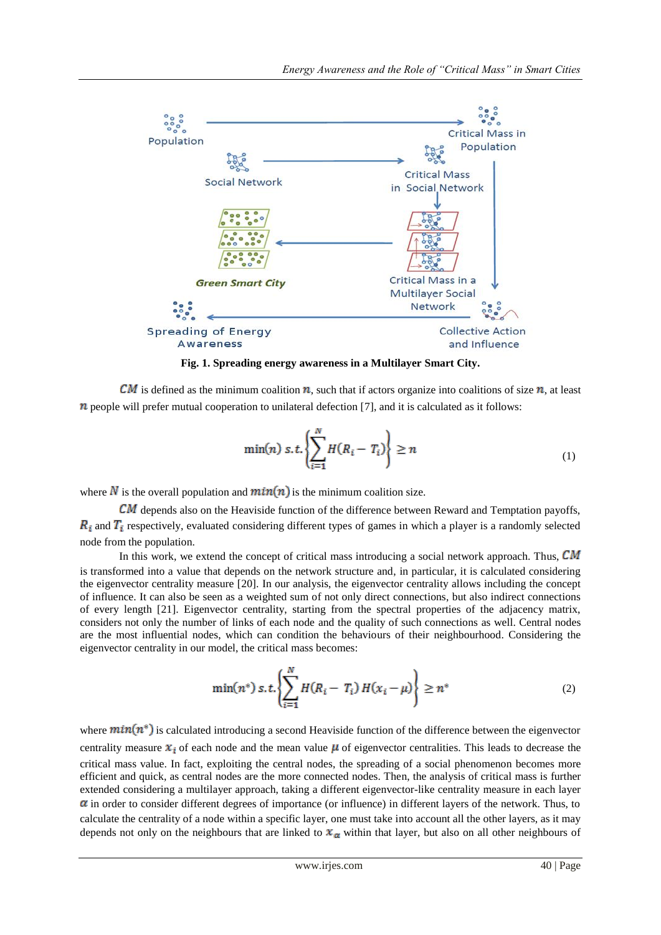

**Fig. 1. Spreading energy awareness in a Multilayer Smart City.**

<span id="page-2-0"></span>CM is defined as the minimum coalition  $n$ , such that if actors organize into coalitions of size  $n$ , at least  $n$  people will prefer mutual cooperation to unilateral defection [\[7\]](#page-0-1), and it is calculated as it follows:

<span id="page-2-1"></span>
$$
\min(n) \ s.t. \left\{ \sum_{i=1}^{N} H(R_i - T_i) \right\} \ge n \tag{1}
$$

where  $N$  is the overall population and  $min(n)$  is the minimum coalition size.

 $CM$  depends also on the Heaviside function of the difference between Reward and Temptation payoffs,  $R_i$  and  $T_i$  respectively, evaluated considering different types of games in which a player is a randomly selected node from the population.

In this work, we extend the concept of critical mass introducing a social network approach. Thus,  $CM$ is transformed into a value that depends on the network structure and, in particular, it is calculated considering the eigenvector centrality measure [20]. In our analysis, the eigenvector centrality allows including the concept of influence. It can also be seen as a weighted sum of not only direct connections, but also indirect connections of every length [21]. Eigenvector centrality, starting from the spectral properties of the adjacency matrix, considers not only the number of links of each node and the quality of such connections as well. Central nodes are the most influential nodes, which can condition the behaviours of their neighbourhood. Considering the eigenvector centrality in our model, the critical mass becomes:

<span id="page-2-2"></span>
$$
\min(n^*) s.t. \left\{ \sum_{i=1}^N H(R_i - T_i) H(x_i - \mu) \right\} \ge n^* \tag{2}
$$

where  $min(n^*)$  is calculated introducing a second Heaviside function of the difference between the eigenvector centrality measure  $x_i$  of each node and the mean value  $\mu$  of eigenvector centralities. This leads to decrease the critical mass value. In fact, exploiting the central nodes, the spreading of a social phenomenon becomes more efficient and quick, as central nodes are the more connected nodes. Then, the analysis of critical mass is further extended considering a multilayer approach, taking a different eigenvector-like centrality measure in each layer  $\alpha$  in order to consider different degrees of importance (or influence) in different layers of the network. Thus, to calculate the centrality of a node within a specific layer, one must take into account all the other layers, as it may depends not only on the neighbours that are linked to  $x_\alpha$  within that layer, but also on all other neighbours of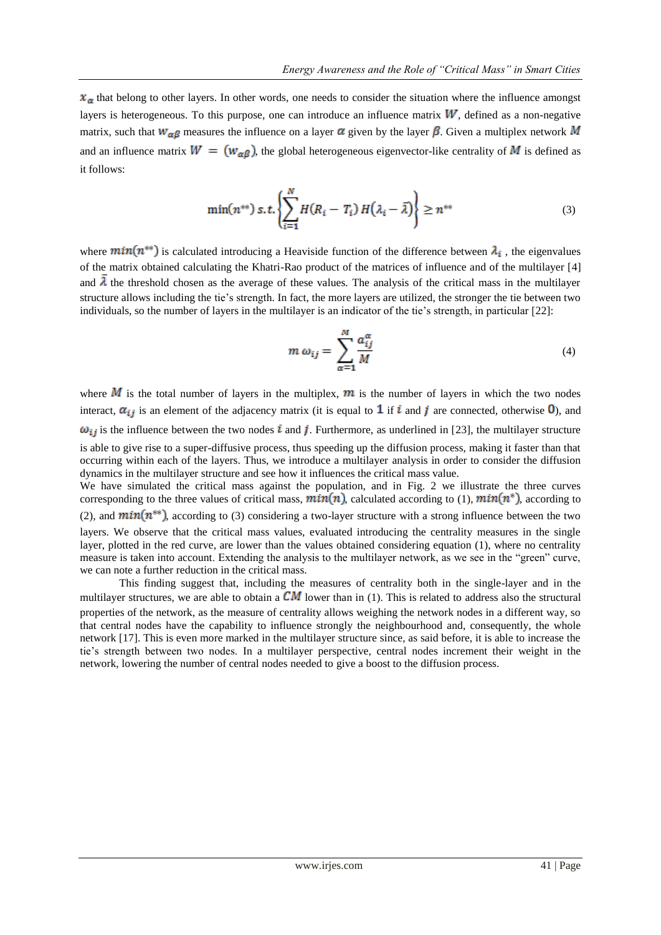$x<sub>\alpha</sub>$  that belong to other layers. In other words, one needs to consider the situation where the influence amongst layers is heterogeneous. To this purpose, one can introduce an influence matrix  $W$ , defined as a non-negative matrix, such that  $w_{\alpha\beta}$  measures the influence on a layer  $\alpha$  given by the layer  $\beta$ . Given a multiplex network M and an influence matrix  $W = (w_{\alpha\beta})$ , the global heterogeneous eigenvector-like centrality of M is defined as it follows:

$$
\min(n^{**}) \, s.t. \left\{ \sum_{i=1}^{N} H(R_i - T_i) \, H(\lambda_i - \bar{\lambda}) \right\} \ge n^{**} \tag{3}
$$

where  $min(n^{**})$  is calculated introducing a Heaviside function of the difference between  $\lambda_i$ , the eigenvalues of the matrix obtained calculating the Khatri-Rao product of the matrices of influence and of the multilayer [\[4\]](#page-0-0) and  $\bar{\lambda}$  the threshold chosen as the average of these values. The analysis of the critical mass in the multilayer structure allows including the tie"s strength. In fact, the more layers are utilized, the stronger the tie between two individuals, so the number of layers in the multilayer is an indicator of the tie's strength, in particular [22]:

<span id="page-3-0"></span>
$$
m \omega_{ij} = \sum_{\alpha=1}^{M} \frac{a_{ij}^{\alpha}}{M}
$$
 (4)

where  $M$  is the total number of layers in the multiplex,  $m$  is the number of layers in which the two nodes interact,  $\alpha_{ij}$  is an element of the adjacency matrix (it is equal to 1 if i and j are connected, otherwise 0), and  $\omega_{ij}$  is the influence between the two nodes  $i$  and  $j$ . Furthermore, as underlined in [23], the multilayer structure is able to give rise to a super-diffusive process, thus speeding up the diffusion process, making it faster than that occurring within each of the layers. Thus, we introduce a multilayer analysis in order to consider the diffusion dynamics in the multilayer structure and see how it influences the critical mass value. We have simulated the critical mass against the population, and in [Fig. 2](#page-4-0) we illustrate the three curves

corresponding to the three values of critical mass,  $min(n)$ , calculated according to [\(1\),](#page-2-1)  $min(n^*)$ , according to [\(2\),](#page-2-2) and  $min(n^{**})$ , according to [\(3\)](#page-3-0) considering a two-layer structure with a strong influence between the two layers. We observe that the critical mass values, evaluated introducing the centrality measures in the single layer, plotted in the red curve, are lower than the values obtained considering equation [\(1\),](#page-2-1) where no centrality measure is taken into account. Extending the analysis to the multilayer network, as we see in the "green" curve, we can note a further reduction in the critical mass.

This finding suggest that, including the measures of centrality both in the single-layer and in the multilayer structures, we are able to obtain a  $CM$  lower than in [\(1\).](#page-2-1) This is related to address also the structural properties of the network, as the measure of centrality allows weighing the network nodes in a different way, so that central nodes have the capability to influence strongly the neighbourhood and, consequently, the whole network [\[17\]](#page-1-0). This is even more marked in the multilayer structure since, as said before, it is able to increase the tie"s strength between two nodes. In a multilayer perspective, central nodes increment their weight in the network, lowering the number of central nodes needed to give a boost to the diffusion process.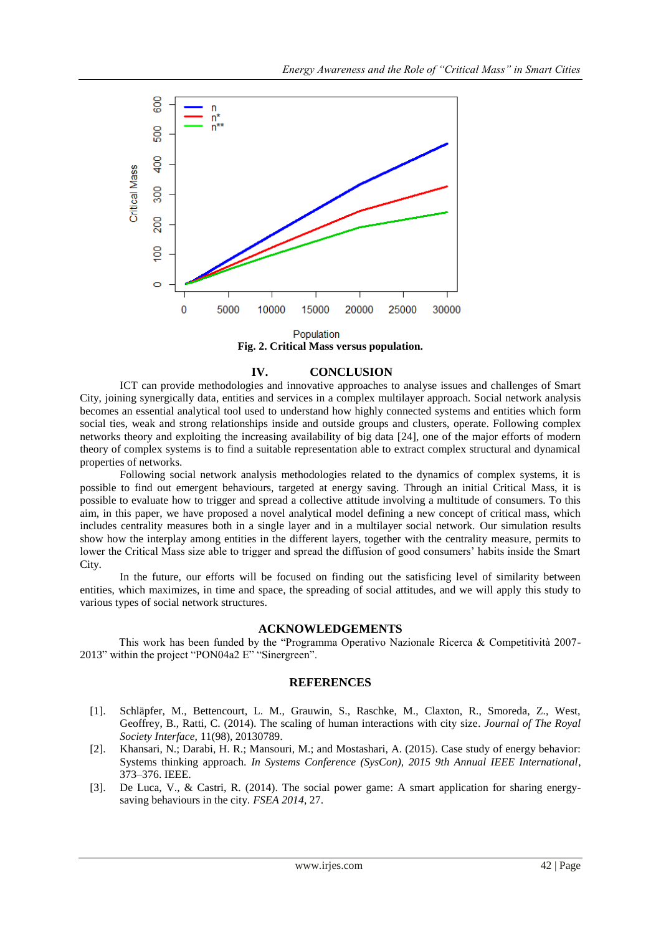

Population **Fig. 2. Critical Mass versus population.**

### **IV. CONCLUSION**

<span id="page-4-0"></span>ICT can provide methodologies and innovative approaches to analyse issues and challenges of Smart City, joining synergically data, entities and services in a complex multilayer approach. Social network analysis becomes an essential analytical tool used to understand how highly connected systems and entities which form social ties, weak and strong relationships inside and outside groups and clusters, operate. Following complex networks theory and exploiting the increasing availability of big data [24], one of the major efforts of modern theory of complex systems is to find a suitable representation able to extract complex structural and dynamical properties of networks.

Following social network analysis methodologies related to the dynamics of complex systems, it is possible to find out emergent behaviours, targeted at energy saving. Through an initial Critical Mass, it is possible to evaluate how to trigger and spread a collective attitude involving a multitude of consumers. To this aim, in this paper, we have proposed a novel analytical model defining a new concept of critical mass, which includes centrality measures both in a single layer and in a multilayer social network. Our simulation results show how the interplay among entities in the different layers, together with the centrality measure, permits to lower the Critical Mass size able to trigger and spread the diffusion of good consumers' habits inside the Smart City.

In the future, our efforts will be focused on finding out the satisficing level of similarity between entities, which maximizes, in time and space, the spreading of social attitudes, and we will apply this study to various types of social network structures.

#### **ACKNOWLEDGEMENTS**

This work has been funded by the "Programma Operativo Nazionale Ricerca & Competitività 2007- 2013" within the project "PON04a2 E" "Sinergreen".

#### **REFERENCES**

- [1]. Schläpfer, M., Bettencourt, L. M., Grauwin, S., Raschke, M., Claxton, R., Smoreda, Z., West, Geoffrey, B., Ratti, C. (2014). The scaling of human interactions with city size*. Journal of The Royal Society Interface,* 11(98), 20130789.
- [2]. Khansari, N.; Darabi, H. R.; Mansouri, M.; and Mostashari, A. (2015). Case study of energy behavior: Systems thinking approach. *In Systems Conference (SysCon), 2015 9th Annual IEEE International*, 373–376. IEEE.
- [3]. De Luca, V., & Castri, R. (2014). The social power game: A smart application for sharing energysaving behaviours in the city. *FSEA 2014*, 27.